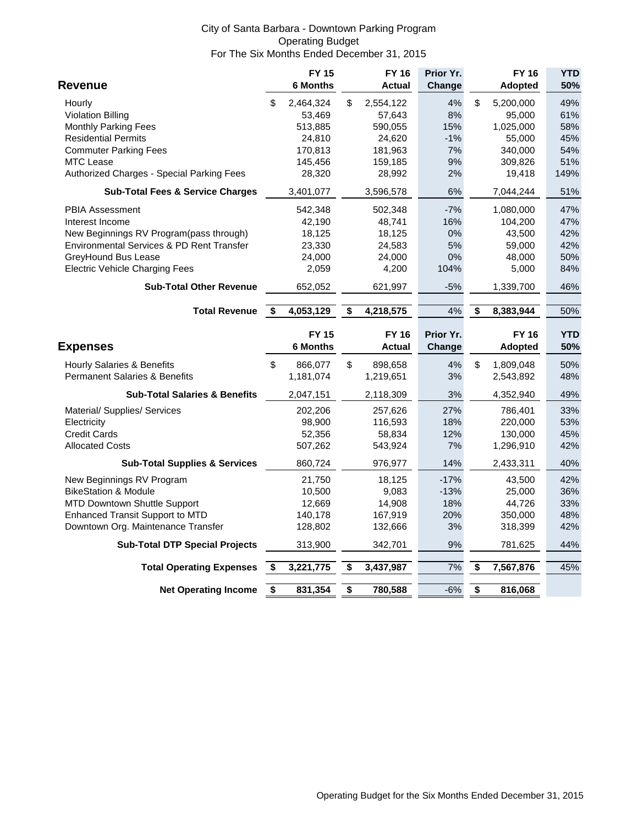## City of Santa Barbara - Downtown Parking Program Operating Budget For The Six Months Ended December 31, 2015

|                                             |      | <b>FY 15</b>    | <b>FY 16</b>    | Prior Yr. |                      | <b>FY 16</b>   | <b>YTD</b> |
|---------------------------------------------|------|-----------------|-----------------|-----------|----------------------|----------------|------------|
| Revenue                                     |      | <b>6 Months</b> | Actual          | Change    |                      | <b>Adopted</b> | 50%        |
| Hourly                                      | \$   | 2,464,324       | \$<br>2,554,122 | 4%        | \$                   | 5,200,000      | 49%        |
| <b>Violation Billing</b>                    |      | 53,469          | 57,643          | 8%        |                      | 95,000         | 61%        |
| <b>Monthly Parking Fees</b>                 |      | 513,885         | 590,055         | 15%       |                      | 1,025,000      | 58%        |
| <b>Residential Permits</b>                  |      | 24,810          | 24,620          | $-1%$     |                      | 55,000         | 45%        |
| <b>Commuter Parking Fees</b>                |      | 170,813         | 181,963         | 7%        |                      | 340,000        | 54%        |
| <b>MTC Lease</b>                            |      | 145,456         | 159,185         | 9%        |                      | 309,826        | 51%        |
| Authorized Charges - Special Parking Fees   |      | 28,320          | 28,992          | 2%        |                      | 19,418         | 149%       |
| <b>Sub-Total Fees &amp; Service Charges</b> |      | 3,401,077       | 3,596,578       | $6\%$     |                      | 7,044,244      | 51%        |
| <b>PBIA Assessment</b>                      |      | 542,348         | 502,348         | $-7%$     |                      | 1,080,000      | 47%        |
| Interest Income                             |      | 42,190          | 48,741          | 16%       |                      | 104,200        | 47%        |
| New Beginnings RV Program (pass through)    |      | 18,125          | 18,125          | 0%        |                      | 43,500         | 42%        |
| Environmental Services & PD Rent Transfer   |      | 23,330          | 24,583          | 5%        |                      | 59,000         | 42%        |
| GreyHound Bus Lease                         |      | 24,000          | 24,000          | $0\%$     |                      | 48,000         | 50%        |
| <b>Electric Vehicle Charging Fees</b>       |      | 2,059           | 4,200           | 104%      |                      | 5,000          | 84%        |
| <b>Sub-Total Other Revenue</b>              |      | 652,052         | 621,997         | $-5%$     |                      | 1,339,700      | 46%        |
| <b>Total Revenue</b>                        | - \$ | 4,053,129       | \$<br>4,218,575 | 4%        | \$                   | 8,383,944      | 50%        |
|                                             |      |                 |                 |           |                      |                |            |
|                                             |      | <b>FY 15</b>    | <b>FY 16</b>    | Prior Yr. |                      | <b>FY 16</b>   | <b>YTD</b> |
| <b>Expenses</b>                             |      | <b>6 Months</b> | <b>Actual</b>   | Change    |                      | <b>Adopted</b> | 50%        |
| <b>Hourly Salaries &amp; Benefits</b>       | \$   | 866,077         | \$<br>898,658   | 4%        | $\mathsf{\$}$        | 1,809,048      | 50%        |
| <b>Permanent Salaries &amp; Benefits</b>    |      | 1,181,074       | 1,219,651       | 3%        |                      | 2,543,892      | 48%        |
| <b>Sub-Total Salaries &amp; Benefits</b>    |      | 2,047,151       | 2,118,309       | 3%        |                      | 4,352,940      | 49%        |
| Material/ Supplies/ Services                |      | 202,206         | 257,626         | 27%       |                      | 786,401        | 33%        |
| Electricity                                 |      | 98,900          | 116,593         | 18%       |                      | 220,000        | 53%        |
| <b>Credit Cards</b>                         |      | 52,356          | 58,834          | 12%       |                      | 130,000        | 45%        |
| <b>Allocated Costs</b>                      |      | 507,262         | 543,924         | 7%        |                      | 1,296,910      | 42%        |
| <b>Sub-Total Supplies &amp; Services</b>    |      | 860,724         | 976,977         | 14%       |                      | 2,433,311      | 40%        |
| New Beginnings RV Program                   |      | 21,750          | 18,125          | $-17%$    |                      | 43,500         | 42%        |
| <b>BikeStation &amp; Module</b>             |      | 10,500          | 9,083           | $-13%$    |                      | 25,000         | 36%        |
| <b>MTD Downtown Shuttle Support</b>         |      | 12,669          | 14,908          | 18%       |                      | 44,726         | 33%        |
| Enhanced Transit Support to MTD             |      | 140,178         | 167,919         | 20%       |                      | 350,000        | 48%        |
| Downtown Org. Maintenance Transfer          |      | 128,802         | 132,666         | 3%        |                      | 318,399        | 42%        |
| <b>Sub-Total DTP Special Projects</b>       |      | 313,900         | 342,701         | 9%        |                      | 781,625        | 44%        |
| <b>Total Operating Expenses</b>             | \$   | 3,221,775       | \$<br>3,437,987 | 7%        | \$                   | 7,567,876      | 45%        |
| <b>Net Operating Income</b>                 | \$   | 831,354         | \$<br>780,588   | $-6%$     | $\overline{\bullet}$ | 816,068        |            |
|                                             |      |                 |                 |           |                      |                |            |